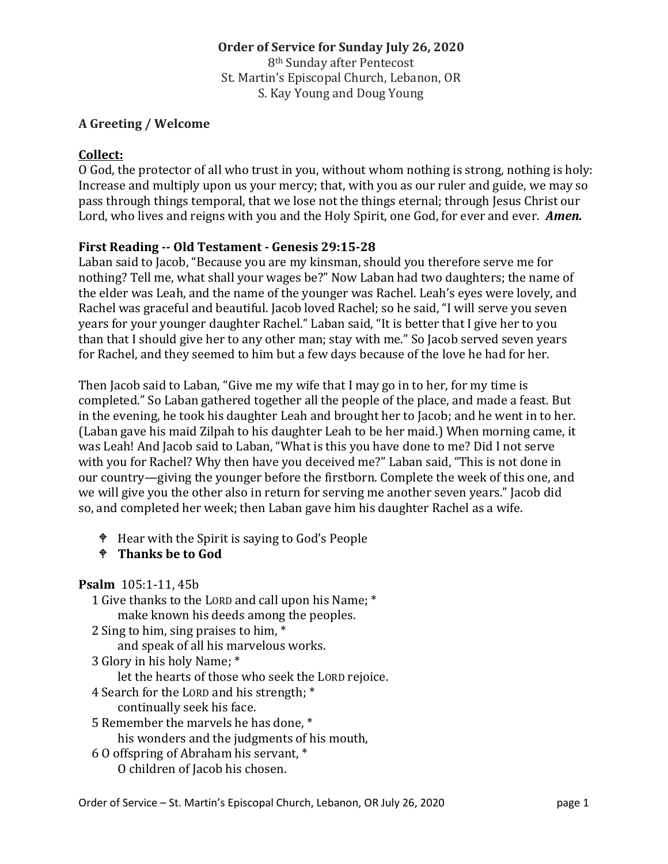## **Order of Service for Sunday July 26, 2020**

8th Sunday after Pentecost St. Martin's Episcopal Church, Lebanon, OR S. Kay Young and Doug Young

### **A Greeting / Welcome**

### **Collect:**

O God, the protector of all who trust in you, without whom nothing is strong, nothing is holy: Increase and multiply upon us your mercy; that, with you as our ruler and guide, we may so pass through things temporal, that we lose not the things eternal; through Jesus Christ our Lord, who lives and reigns with you and the Holy Spirit, one God, for ever and ever. *Amen.*

### **First Reading -- Old Testament - Genesis 29:15-28**

Laban said to Jacob, "Because you are my kinsman, should you therefore serve me for nothing? Tell me, what shall your wages be?" Now Laban had two daughters; the name of the elder was Leah, and the name of the younger was Rachel. Leah's eyes were lovely, and Rachel was graceful and beautiful. Jacob loved Rachel; so he said, "I will serve you seven years for your younger daughter Rachel." Laban said, "It is better that I give her to you than that I should give her to any other man; stay with me." So Jacob served seven years for Rachel, and they seemed to him but a few days because of the love he had for her.

Then Jacob said to Laban, "Give me my wife that I may go in to her, for my time is completed." So Laban gathered together all the people of the place, and made a feast. But in the evening, he took his daughter Leah and brought her to Jacob; and he went in to her. (Laban gave his maid Zilpah to his daughter Leah to be her maid.) When morning came, it was Leah! And Jacob said to Laban, "What is this you have done to me? Did I not serve with you for Rachel? Why then have you deceived me?" Laban said, "This is not done in our country—giving the younger before the firstborn. Complete the week of this one, and we will give you the other also in return for serving me another seven years." Jacob did so, and completed her week; then Laban gave him his daughter Rachel as a wife.

Hear with the Spirit is saying to God's People

## **Thanks be to God**

#### **Psalm** 105:1-11, 45b

- 1 Give thanks to the LORD and call upon his Name; \* make known his deeds among the peoples.
- 2 Sing to him, sing praises to him, \*
	- and speak of all his marvelous works.
- 3 Glory in his holy Name; \*
	- let the hearts of those who seek the LORD rejoice.
- 4 Search for the LORD and his strength; \* continually seek his face.
- 5 Remember the marvels he has done, \* his wonders and the judgments of his mouth,
- 6 O offspring of Abraham his servant, \* O children of Jacob his chosen.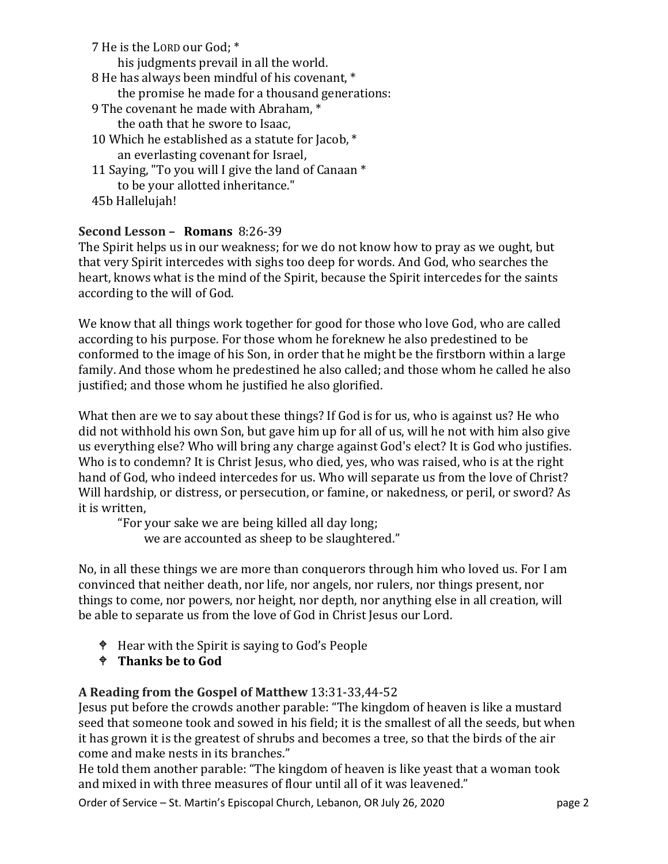7 He is the LORD our God; \*

his judgments prevail in all the world.

- 8 He has always been mindful of his covenant, \* the promise he made for a thousand generations:
- 9 The covenant he made with Abraham, \*
	- the oath that he swore to Isaac,
- 10 Which he established as a statute for Jacob, \* an everlasting covenant for Israel,
- 11 Saying, "To you will I give the land of Canaan \* to be your allotted inheritance."
- 45b Hallelujah!

## **Second Lesson – Romans** 8:26-39

The Spirit helps us in our weakness; for we do not know how to pray as we ought, but that very Spirit intercedes with sighs too deep for words. And God, who searches the heart, knows what is the mind of the Spirit, because the Spirit intercedes for the saints according to the will of God.

We know that all things work together for good for those who love God, who are called according to his purpose. For those whom he foreknew he also predestined to be conformed to the image of his Son, in order that he might be the firstborn within a large family. And those whom he predestined he also called; and those whom he called he also justified; and those whom he justified he also glorified.

What then are we to say about these things? If God is for us, who is against us? He who did not withhold his own Son, but gave him up for all of us, will he not with him also give us everything else? Who will bring any charge against God's elect? It is God who justifies. Who is to condemn? It is Christ Jesus, who died, yes, who was raised, who is at the right hand of God, who indeed intercedes for us. Who will separate us from the love of Christ? Will hardship, or distress, or persecution, or famine, or nakedness, or peril, or sword? As it is written,

"For your sake we are being killed all day long;

we are accounted as sheep to be slaughtered."

No, in all these things we are more than conquerors through him who loved us. For I am convinced that neither death, nor life, nor angels, nor rulers, nor things present, nor things to come, nor powers, nor height, nor depth, nor anything else in all creation, will be able to separate us from the love of God in Christ Jesus our Lord.

- Hear with the Spirit is saying to God's People
- **Thanks be to God**

# **A Reading from the Gospel of Matthew** 13:31-33,44-52

Jesus put before the crowds another parable: "The kingdom of heaven is like a mustard seed that someone took and sowed in his field; it is the smallest of all the seeds, but when it has grown it is the greatest of shrubs and becomes a tree, so that the birds of the air come and make nests in its branches."

He told them another parable: "The kingdom of heaven is like yeast that a woman took and mixed in with three measures of flour until all of it was leavened."

Order of Service – St. Martin's Episcopal Church, Lebanon, OR July 26, 2020 page 2